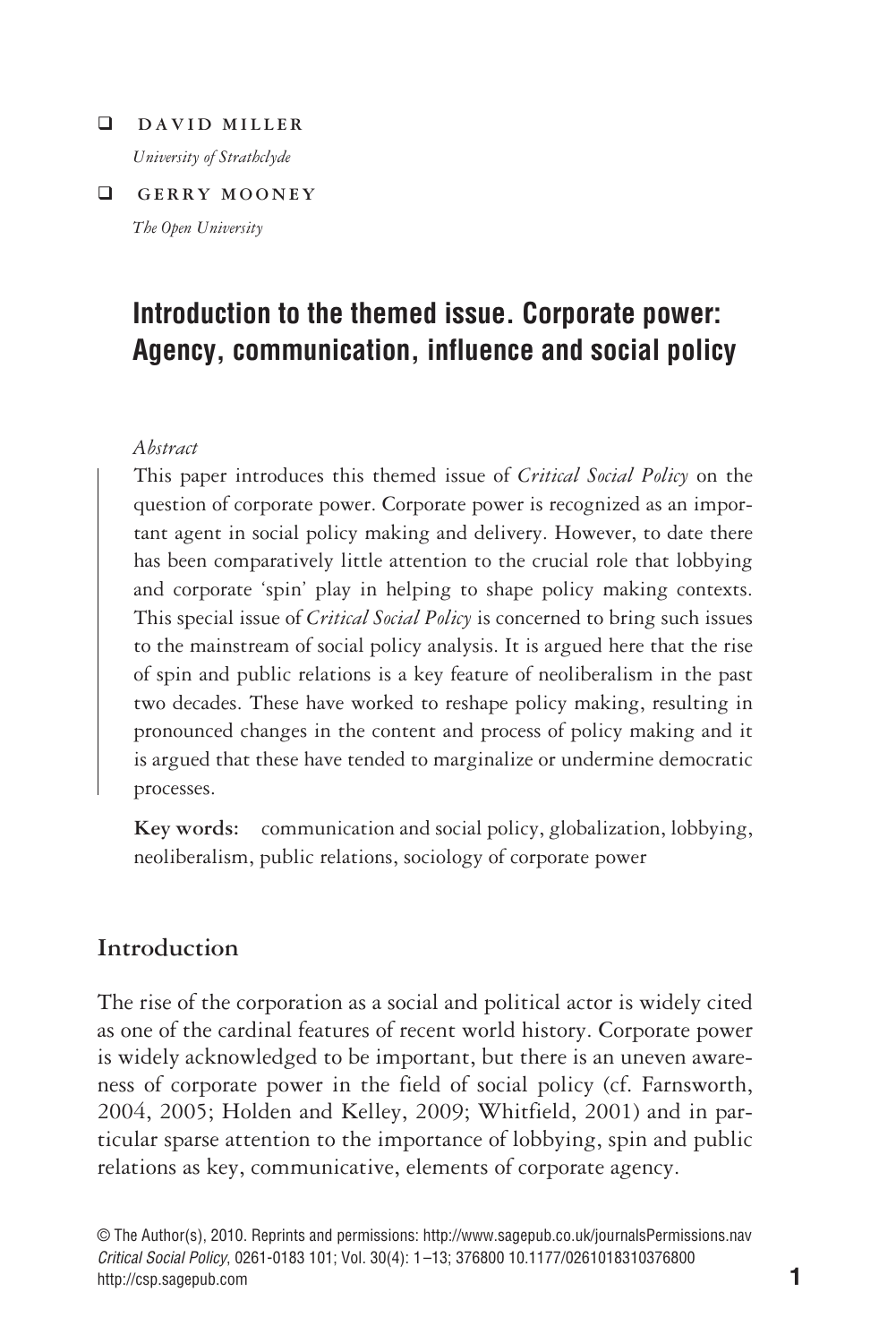## **DAVID MILLER**

*University of Strathclyde*

 **GERRY MOONEY** *The Open University*

# **Introduction to the themed issue. Corporate power: Agency, communication, influence and social policy**

## *Abstract*

This paper introduces this themed issue of *Critical Social Policy* on the question of corporate power. Corporate power is recognized as an important agent in social policy making and delivery. However, to date there has been comparatively little attention to the crucial role that lobbying and corporate 'spin' play in helping to shape policy making contexts. This special issue of *Critical Social Policy* is concerned to bring such issues to the mainstream of social policy analysis. It is argued here that the rise of spin and public relations is a key feature of neoliberalism in the past two decades. These have worked to reshape policy making, resulting in pronounced changes in the content and process of policy making and it is argued that these have tended to marginalize or undermine democratic processes.

**Key words:** communication and social policy, globalization, lobbying, neoliberalism, public relations, sociology of corporate power

# **Introduction**

The rise of the corporation as a social and political actor is widely cited as one of the cardinal features of recent world history. Corporate power is widely acknowledged to be important, but there is an uneven awareness of corporate power in the field of social policy (cf. Farnsworth, 2004, 2005; Holden and Kelley, 2009; Whitfield, 2001) and in particular sparse attention to the importance of lobbying, spin and public relations as key, communicative, elements of corporate agency.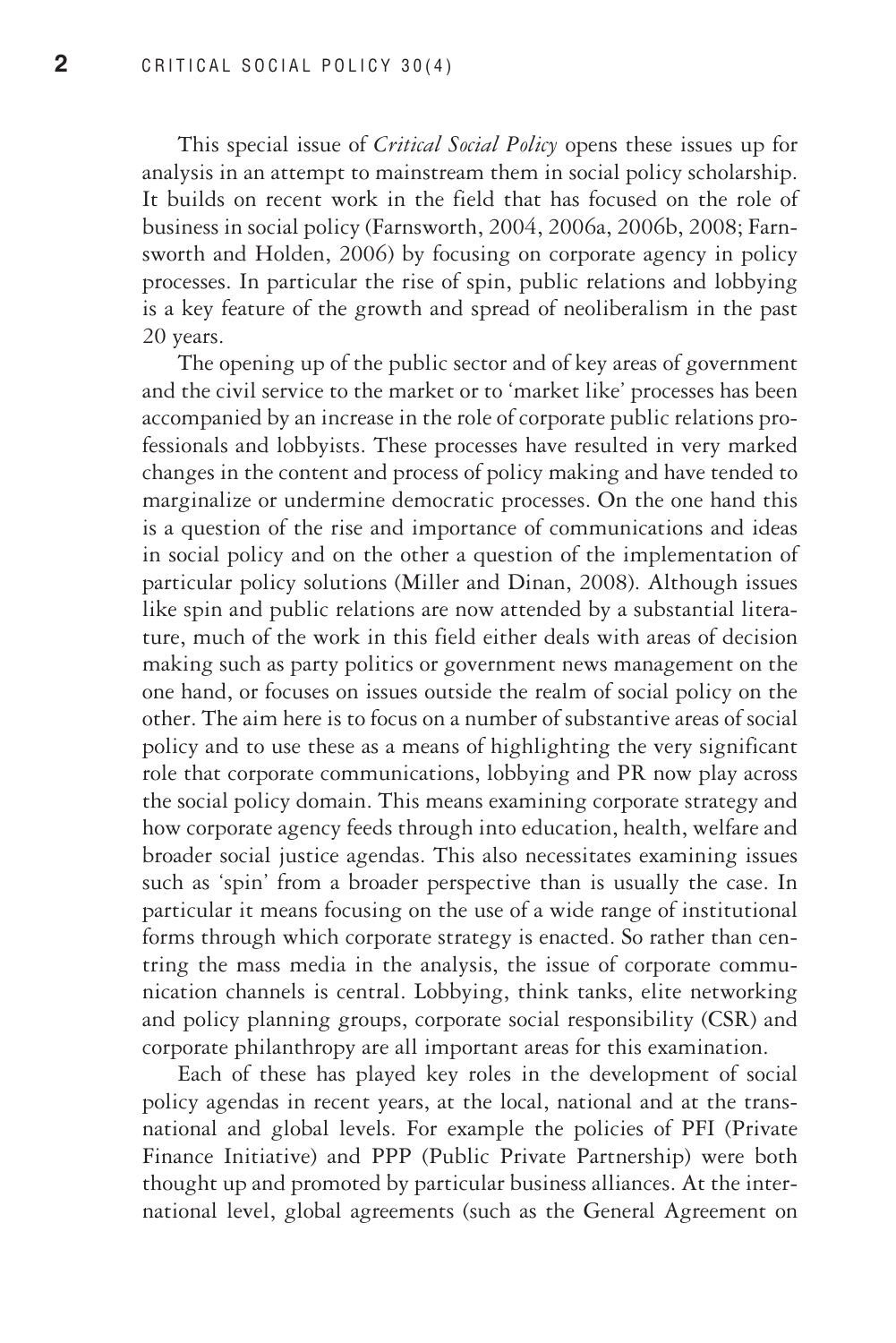This special issue of *Critical Social Policy* opens these issues up for analysis in an attempt to mainstream them in social policy scholarship. It builds on recent work in the field that has focused on the role of business in social policy (Farnsworth, 2004, 2006a, 2006b, 2008; Farnsworth and Holden, 2006) by focusing on corporate agency in policy processes. In particular the rise of spin, public relations and lobbying is a key feature of the growth and spread of neoliberalism in the past 20 years.

The opening up of the public sector and of key areas of government and the civil service to the market or to 'market like' processes has been accompanied by an increase in the role of corporate public relations professionals and lobbyists. These processes have resulted in very marked changes in the content and process of policy making and have tended to marginalize or undermine democratic processes. On the one hand this is a question of the rise and importance of communications and ideas in social policy and on the other a question of the implementation of particular policy solutions (Miller and Dinan, 2008). Although issues like spin and public relations are now attended by a substantial literature, much of the work in this field either deals with areas of decision making such as party politics or government news management on the one hand, or focuses on issues outside the realm of social policy on the other. The aim here is to focus on a number of substantive areas of social policy and to use these as a means of highlighting the very significant role that corporate communications, lobbying and PR now play across the social policy domain. This means examining corporate strategy and how corporate agency feeds through into education, health, welfare and broader social justice agendas. This also necessitates examining issues such as 'spin' from a broader perspective than is usually the case. In particular it means focusing on the use of a wide range of institutional forms through which corporate strategy is enacted. So rather than centring the mass media in the analysis, the issue of corporate communication channels is central. Lobbying, think tanks, elite networking and policy planning groups, corporate social responsibility (CSR) and corporate philanthropy are all important areas for this examination.

Each of these has played key roles in the development of social policy agendas in recent years, at the local, national and at the transnational and global levels. For example the policies of PFI (Private Finance Initiative) and PPP (Public Private Partnership) were both thought up and promoted by particular business alliances. At the international level, global agreements (such as the General Agreement on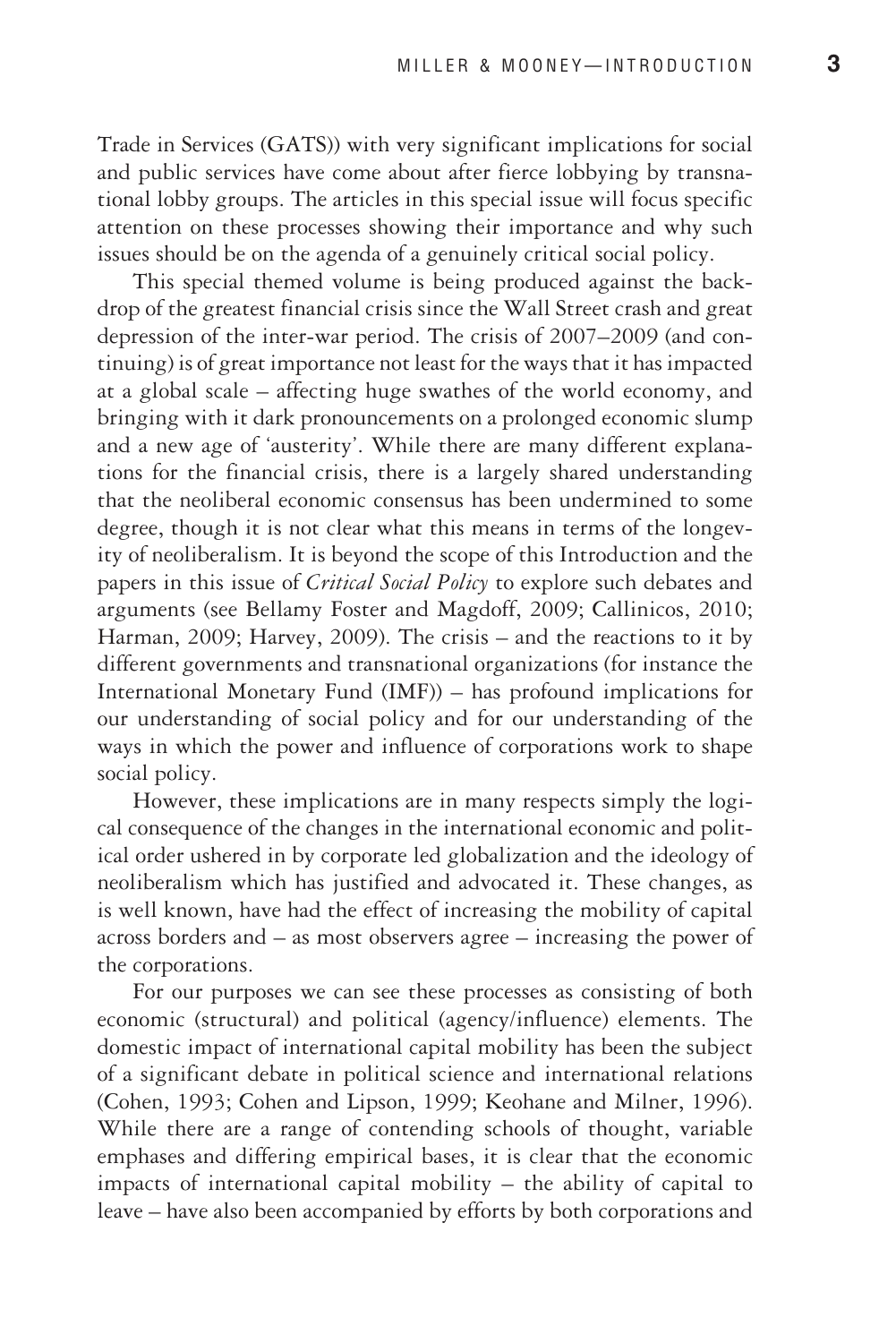Trade in Services (GATS)) with very significant implications for social and public services have come about after fierce lobbying by transnational lobby groups. The articles in this special issue will focus specific attention on these processes showing their importance and why such issues should be on the agenda of a genuinely critical social policy.

This special themed volume is being produced against the backdrop of the greatest financial crisis since the Wall Street crash and great depression of the inter-war period. The crisis of 2007–2009 (and continuing) is of great importance not least for the ways that it has impacted at a global scale – affecting huge swathes of the world economy, and bringing with it dark pronouncements on a prolonged economic slump and a new age of 'austerity'. While there are many different explanations for the financial crisis, there is a largely shared understanding that the neoliberal economic consensus has been undermined to some degree, though it is not clear what this means in terms of the longevity of neoliberalism. It is beyond the scope of this Introduction and the papers in this issue of *Critical Social Policy* to explore such debates and arguments (see Bellamy Foster and Magdoff, 2009; Callinicos, 2010; Harman, 2009; Harvey, 2009). The crisis – and the reactions to it by different governments and transnational organizations (for instance the International Monetary Fund (IMF)) – has profound implications for our understanding of social policy and for our understanding of the ways in which the power and influence of corporations work to shape social policy.

However, these implications are in many respects simply the logical consequence of the changes in the international economic and political order ushered in by corporate led globalization and the ideology of neoliberalism which has justified and advocated it. These changes, as is well known, have had the effect of increasing the mobility of capital across borders and – as most observers agree – increasing the power of the corporations.

For our purposes we can see these processes as consisting of both economic (structural) and political (agency/influence) elements. The domestic impact of international capital mobility has been the subject of a significant debate in political science and international relations (Cohen, 1993; Cohen and Lipson, 1999; Keohane and Milner, 1996). While there are a range of contending schools of thought, variable emphases and differing empirical bases, it is clear that the economic impacts of international capital mobility – the ability of capital to leave – have also been accompanied by efforts by both corporations and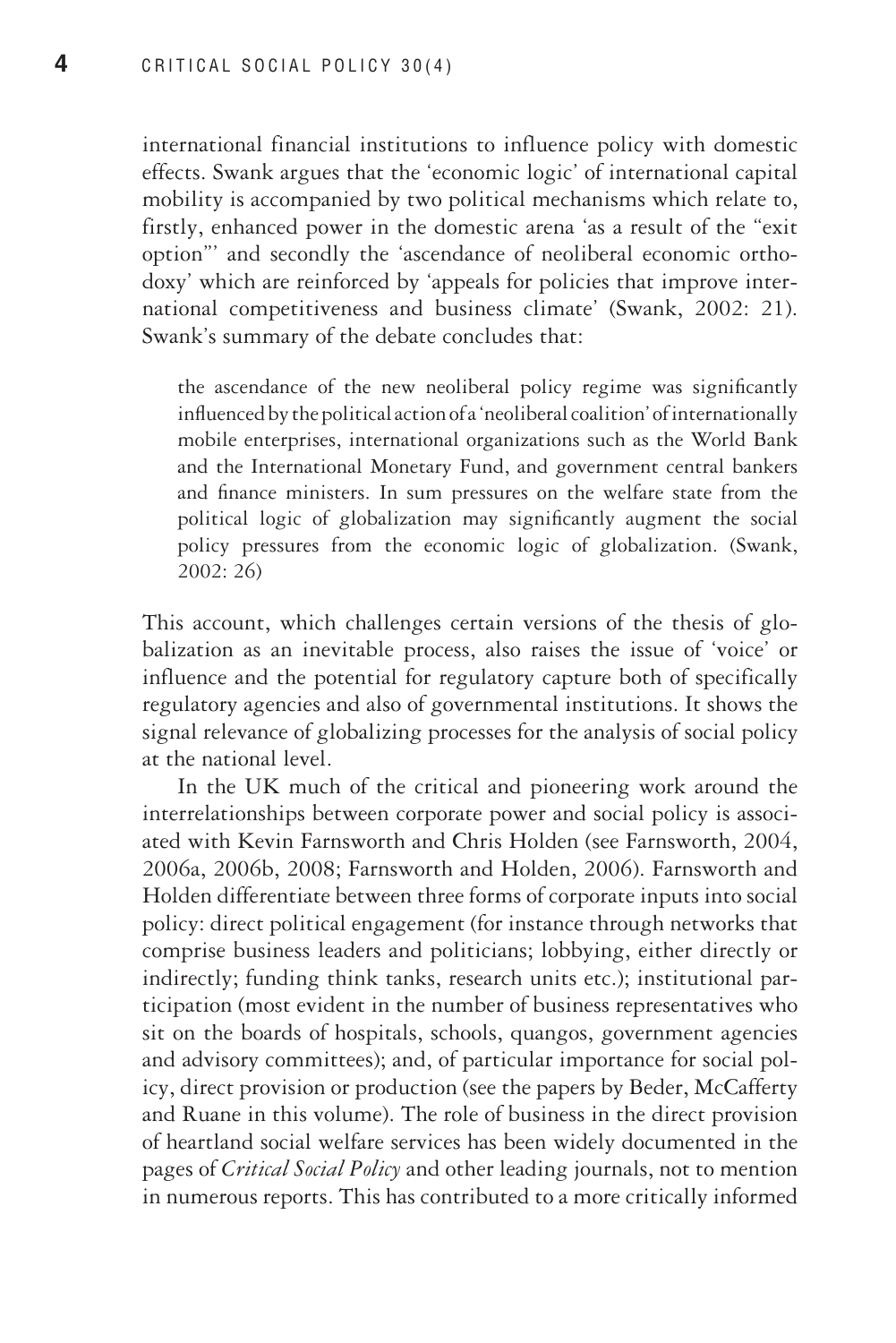international financial institutions to influence policy with domestic effects. Swank argues that the 'economic logic' of international capital mobility is accompanied by two political mechanisms which relate to, firstly, enhanced power in the domestic arena 'as a result of the "exit option"' and secondly the 'ascendance of neoliberal economic orthodoxy' which are reinforced by 'appeals for policies that improve international competitiveness and business climate' (Swank, 2002: 21). Swank's summary of the debate concludes that:

the ascendance of the new neoliberal policy regime was significantly influenced by the political action of a 'neoliberal coalition' of internationally mobile enterprises, international organizations such as the World Bank and the International Monetary Fund, and government central bankers and finance ministers. In sum pressures on the welfare state from the political logic of globalization may significantly augment the social policy pressures from the economic logic of globalization. (Swank, 2002: 26)

This account, which challenges certain versions of the thesis of globalization as an inevitable process, also raises the issue of 'voice' or influence and the potential for regulatory capture both of specifically regulatory agencies and also of governmental institutions. It shows the signal relevance of globalizing processes for the analysis of social policy at the national level.

In the UK much of the critical and pioneering work around the interrelationships between corporate power and social policy is associated with Kevin Farnsworth and Chris Holden (see Farnsworth, 2004, 2006a, 2006b, 2008; Farnsworth and Holden, 2006). Farnsworth and Holden differentiate between three forms of corporate inputs into social policy: direct political engagement (for instance through networks that comprise business leaders and politicians; lobbying, either directly or indirectly; funding think tanks, research units etc.); institutional participation (most evident in the number of business representatives who sit on the boards of hospitals, schools, quangos, government agencies and advisory committees); and, of particular importance for social policy, direct provision or production (see the papers by Beder, McCafferty and Ruane in this volume). The role of business in the direct provision of heartland social welfare services has been widely documented in the pages of *Critical Social Policy* and other leading journals, not to mention in numerous reports. This has contributed to a more critically informed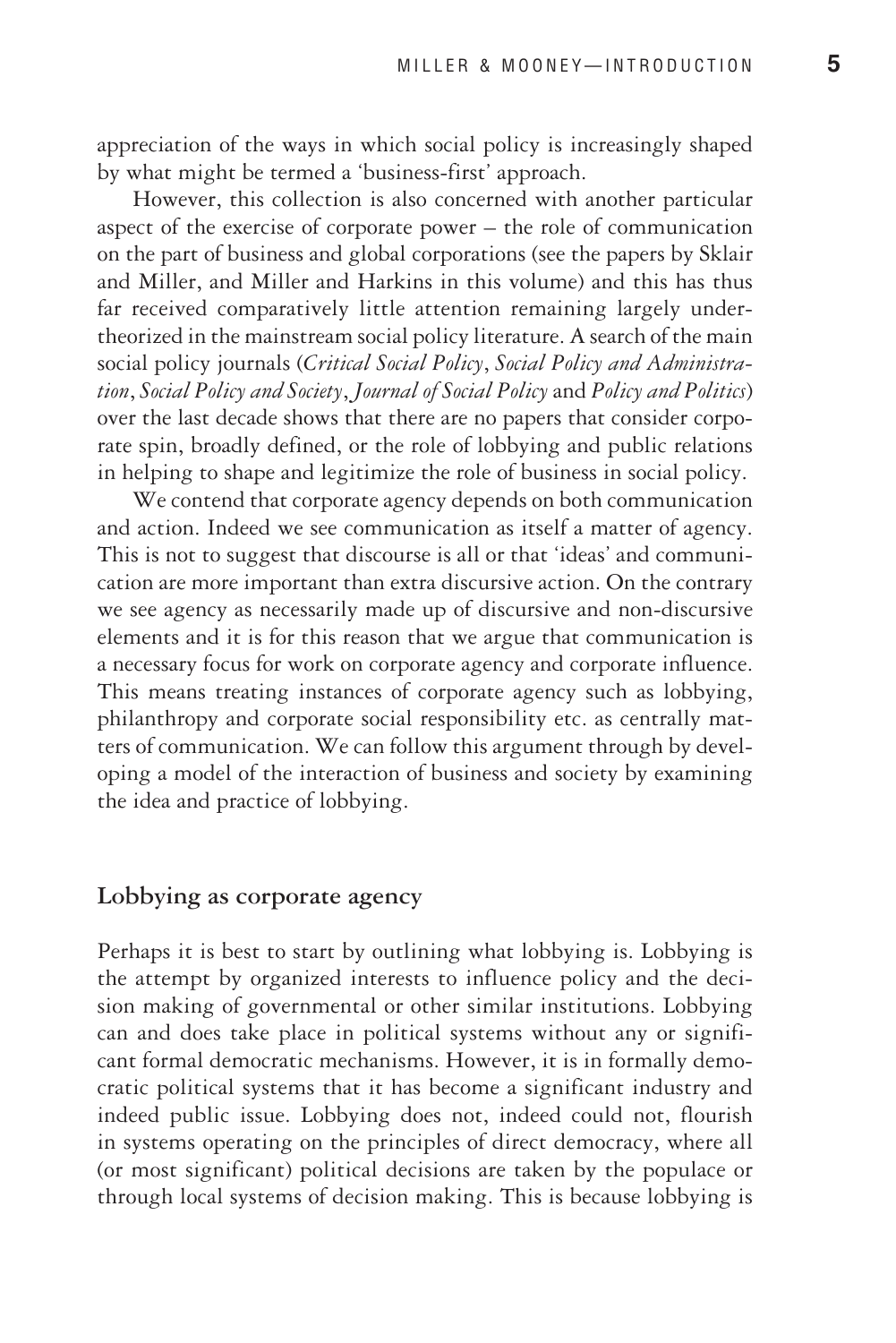appreciation of the ways in which social policy is increasingly shaped by what might be termed a 'business-first' approach.

However, this collection is also concerned with another particular aspect of the exercise of corporate power – the role of communication on the part of business and global corporations (see the papers by Sklair and Miller, and Miller and Harkins in this volume) and this has thus far received comparatively little attention remaining largely undertheorized in the mainstream social policy literature. A search of the main social policy journals (*Critical Social Policy*, *Social Policy and Administration*, *Social Policy and Society*, *Journal of Social Policy* and *Policy and Politics*) over the last decade shows that there are no papers that consider corporate spin, broadly defined, or the role of lobbying and public relations in helping to shape and legitimize the role of business in social policy.

We contend that corporate agency depends on both communication and action. Indeed we see communication as itself a matter of agency. This is not to suggest that discourse is all or that 'ideas' and communication are more important than extra discursive action. On the contrary we see agency as necessarily made up of discursive and non-discursive elements and it is for this reason that we argue that communication is a necessary focus for work on corporate agency and corporate influence. This means treating instances of corporate agency such as lobbying, philanthropy and corporate social responsibility etc. as centrally matters of communication. We can follow this argument through by developing a model of the interaction of business and society by examining the idea and practice of lobbying.

## **Lobbying as corporate agency**

Perhaps it is best to start by outlining what lobbying is. Lobbying is the attempt by organized interests to influence policy and the decision making of governmental or other similar institutions. Lobbying can and does take place in political systems without any or significant formal democratic mechanisms. However, it is in formally democratic political systems that it has become a significant industry and indeed public issue. Lobbying does not, indeed could not, flourish in systems operating on the principles of direct democracy, where all (or most significant) political decisions are taken by the populace or through local systems of decision making. This is because lobbying is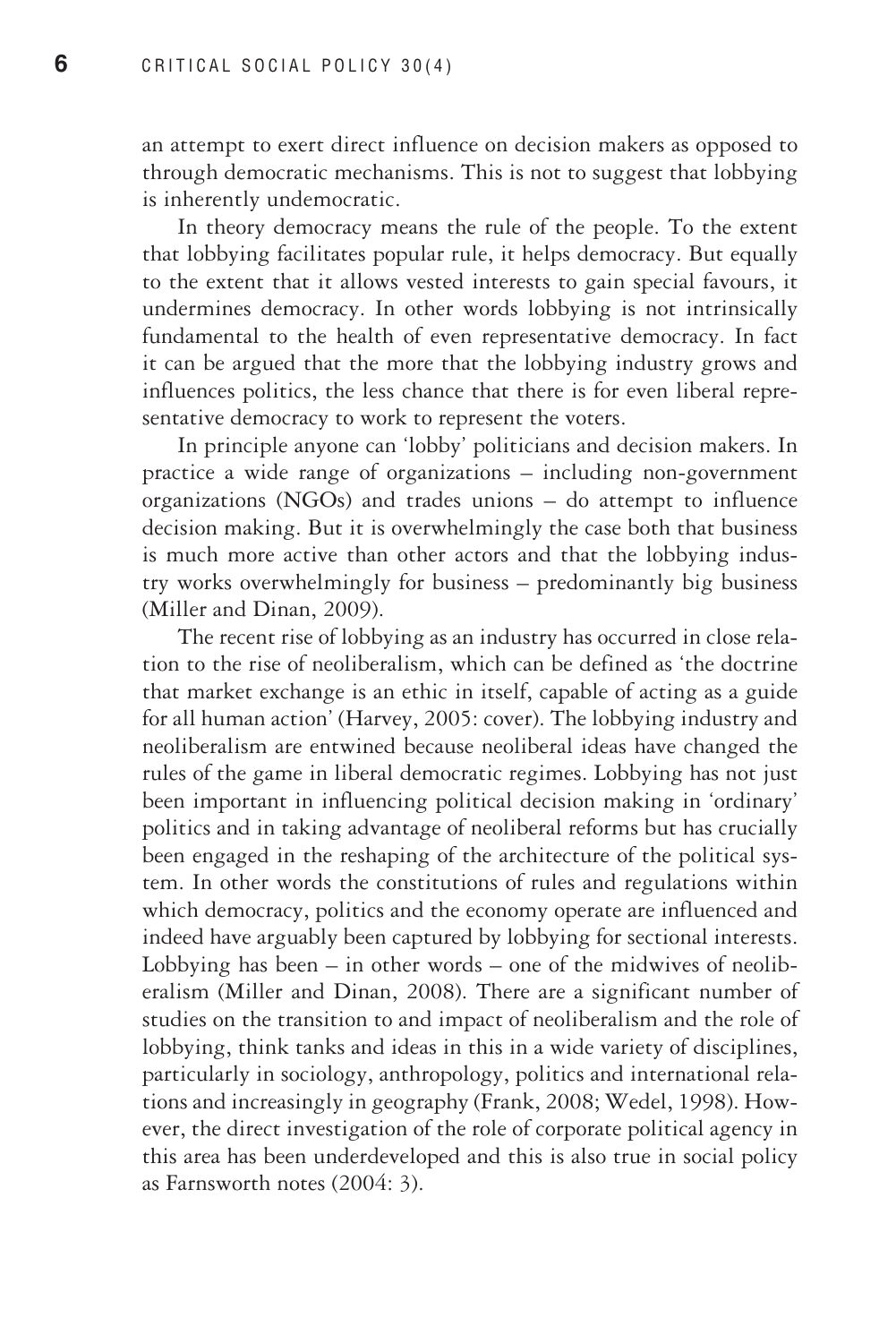an attempt to exert direct influence on decision makers as opposed to through democratic mechanisms. This is not to suggest that lobbying is inherently undemocratic.

In theory democracy means the rule of the people. To the extent that lobbying facilitates popular rule, it helps democracy. But equally to the extent that it allows vested interests to gain special favours, it undermines democracy. In other words lobbying is not intrinsically fundamental to the health of even representative democracy. In fact it can be argued that the more that the lobbying industry grows and influences politics, the less chance that there is for even liberal representative democracy to work to represent the voters.

In principle anyone can 'lobby' politicians and decision makers. In practice a wide range of organizations – including non-government organizations (NGOs) and trades unions – do attempt to influence decision making. But it is overwhelmingly the case both that business is much more active than other actors and that the lobbying industry works overwhelmingly for business – predominantly big business (Miller and Dinan, 2009).

The recent rise of lobbying as an industry has occurred in close relation to the rise of neoliberalism, which can be defined as 'the doctrine that market exchange is an ethic in itself, capable of acting as a guide for all human action' (Harvey, 2005: cover). The lobbying industry and neoliberalism are entwined because neoliberal ideas have changed the rules of the game in liberal democratic regimes. Lobbying has not just been important in influencing political decision making in 'ordinary' politics and in taking advantage of neoliberal reforms but has crucially been engaged in the reshaping of the architecture of the political system. In other words the constitutions of rules and regulations within which democracy, politics and the economy operate are influenced and indeed have arguably been captured by lobbying for sectional interests. Lobbying has been  $-$  in other words  $-$  one of the midwives of neoliberalism (Miller and Dinan, 2008). There are a significant number of studies on the transition to and impact of neoliberalism and the role of lobbying, think tanks and ideas in this in a wide variety of disciplines, particularly in sociology, anthropology, politics and international relations and increasingly in geography (Frank, 2008; Wedel, 1998). However, the direct investigation of the role of corporate political agency in this area has been underdeveloped and this is also true in social policy as Farnsworth notes (2004: 3).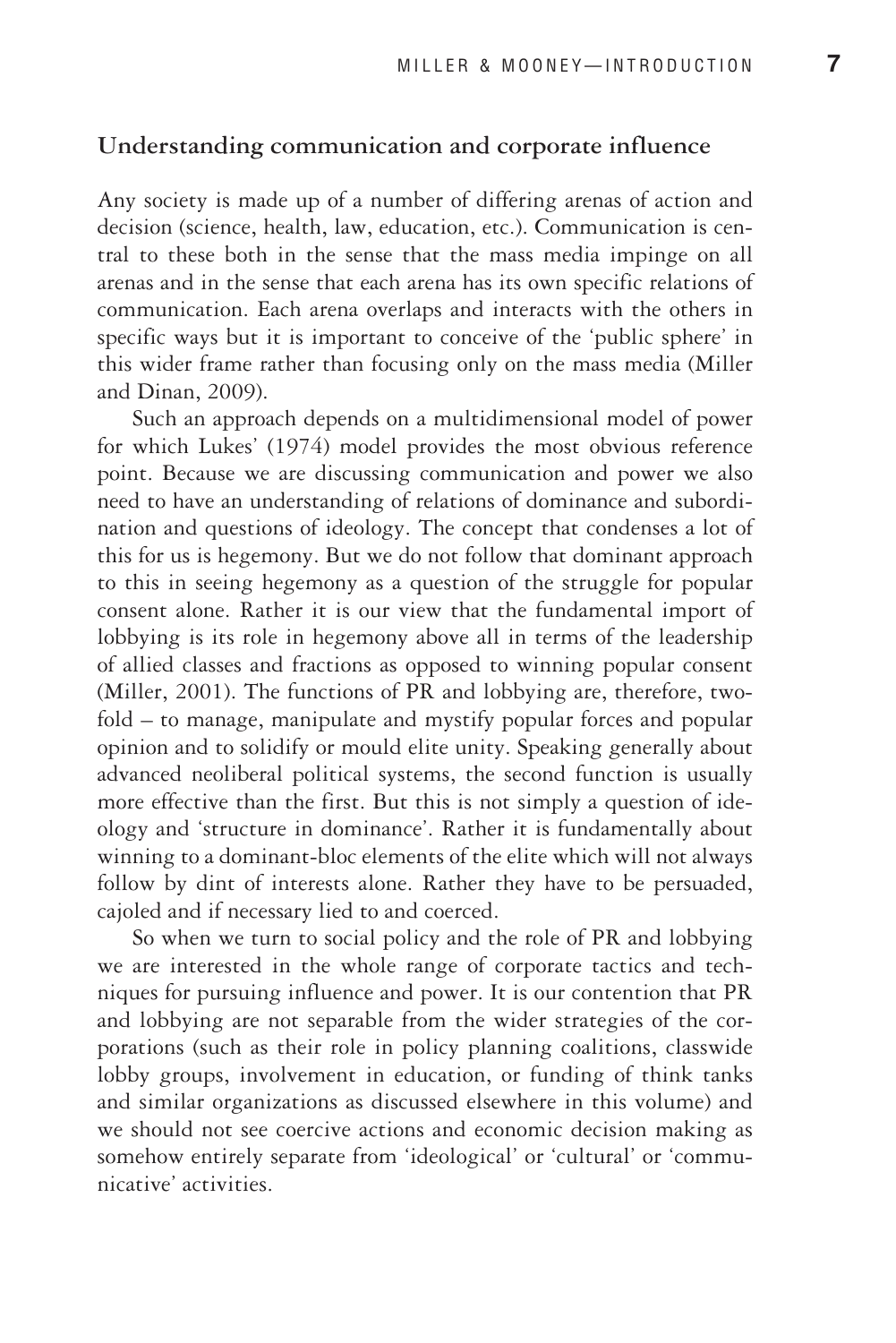# **Understanding communication and corporate influence**

Any society is made up of a number of differing arenas of action and decision (science, health, law, education, etc.). Communication is central to these both in the sense that the mass media impinge on all arenas and in the sense that each arena has its own specific relations of communication. Each arena overlaps and interacts with the others in specific ways but it is important to conceive of the 'public sphere' in this wider frame rather than focusing only on the mass media (Miller and Dinan, 2009).

Such an approach depends on a multidimensional model of power for which Lukes' (1974) model provides the most obvious reference point. Because we are discussing communication and power we also need to have an understanding of relations of dominance and subordination and questions of ideology. The concept that condenses a lot of this for us is hegemony. But we do not follow that dominant approach to this in seeing hegemony as a question of the struggle for popular consent alone. Rather it is our view that the fundamental import of lobbying is its role in hegemony above all in terms of the leadership of allied classes and fractions as opposed to winning popular consent (Miller, 2001). The functions of PR and lobbying are, therefore, twofold – to manage, manipulate and mystify popular forces and popular opinion and to solidify or mould elite unity. Speaking generally about advanced neoliberal political systems, the second function is usually more effective than the first. But this is not simply a question of ideology and 'structure in dominance'. Rather it is fundamentally about winning to a dominant-bloc elements of the elite which will not always follow by dint of interests alone. Rather they have to be persuaded, cajoled and if necessary lied to and coerced.

So when we turn to social policy and the role of PR and lobbying we are interested in the whole range of corporate tactics and techniques for pursuing influence and power. It is our contention that PR and lobbying are not separable from the wider strategies of the corporations (such as their role in policy planning coalitions, classwide lobby groups, involvement in education, or funding of think tanks and similar organizations as discussed elsewhere in this volume) and we should not see coercive actions and economic decision making as somehow entirely separate from 'ideological' or 'cultural' or 'communicative' activities.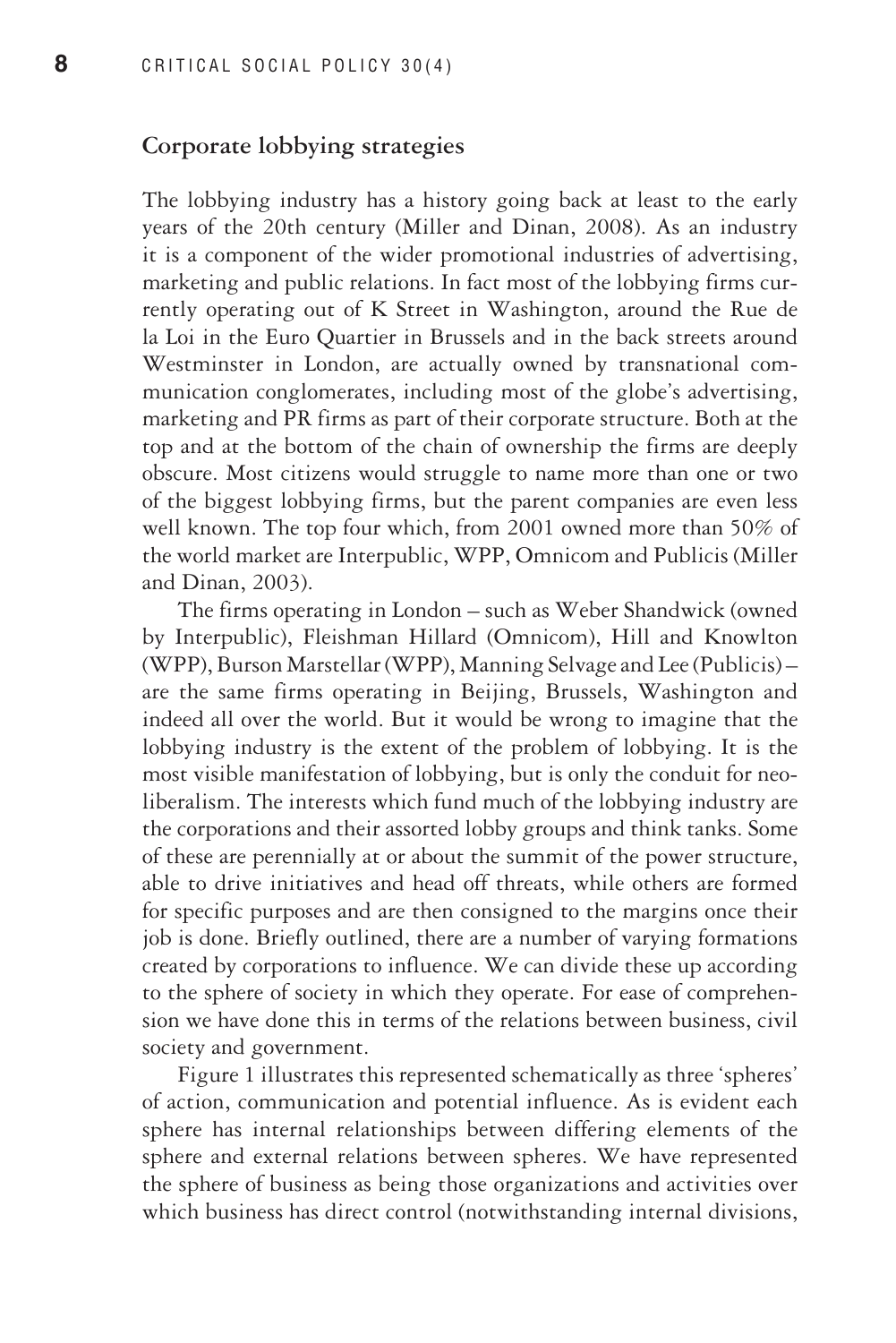## **Corporate lobbying strategies**

The lobbying industry has a history going back at least to the early years of the 20th century (Miller and Dinan, 2008). As an industry it is a component of the wider promotional industries of advertising, marketing and public relations. In fact most of the lobbying firms currently operating out of K Street in Washington, around the Rue de la Loi in the Euro Quartier in Brussels and in the back streets around Westminster in London, are actually owned by transnational communication conglomerates, including most of the globe's advertising, marketing and PR firms as part of their corporate structure. Both at the top and at the bottom of the chain of ownership the firms are deeply obscure. Most citizens would struggle to name more than one or two of the biggest lobbying firms, but the parent companies are even less well known. The top four which, from 2001 owned more than 50% of the world market are Interpublic, WPP, Omnicom and Publicis (Miller and Dinan, 2003).

The firms operating in London – such as Weber Shandwick (owned by Interpublic), Fleishman Hillard (Omnicom), Hill and Knowlton (WPP), Burson Marstellar (WPP), Manning Selvage and Lee (Publicis) – are the same firms operating in Beijing, Brussels, Washington and indeed all over the world. But it would be wrong to imagine that the lobbying industry is the extent of the problem of lobbying. It is the most visible manifestation of lobbying, but is only the conduit for neoliberalism. The interests which fund much of the lobbying industry are the corporations and their assorted lobby groups and think tanks. Some of these are perennially at or about the summit of the power structure, able to drive initiatives and head off threats, while others are formed for specific purposes and are then consigned to the margins once their job is done. Briefly outlined, there are a number of varying formations created by corporations to influence. We can divide these up according to the sphere of society in which they operate. For ease of comprehension we have done this in terms of the relations between business, civil society and government.

Figure 1 illustrates this represented schematically as three 'spheres' of action, communication and potential influence. As is evident each sphere has internal relationships between differing elements of the sphere and external relations between spheres. We have represented the sphere of business as being those organizations and activities over which business has direct control (notwithstanding internal divisions,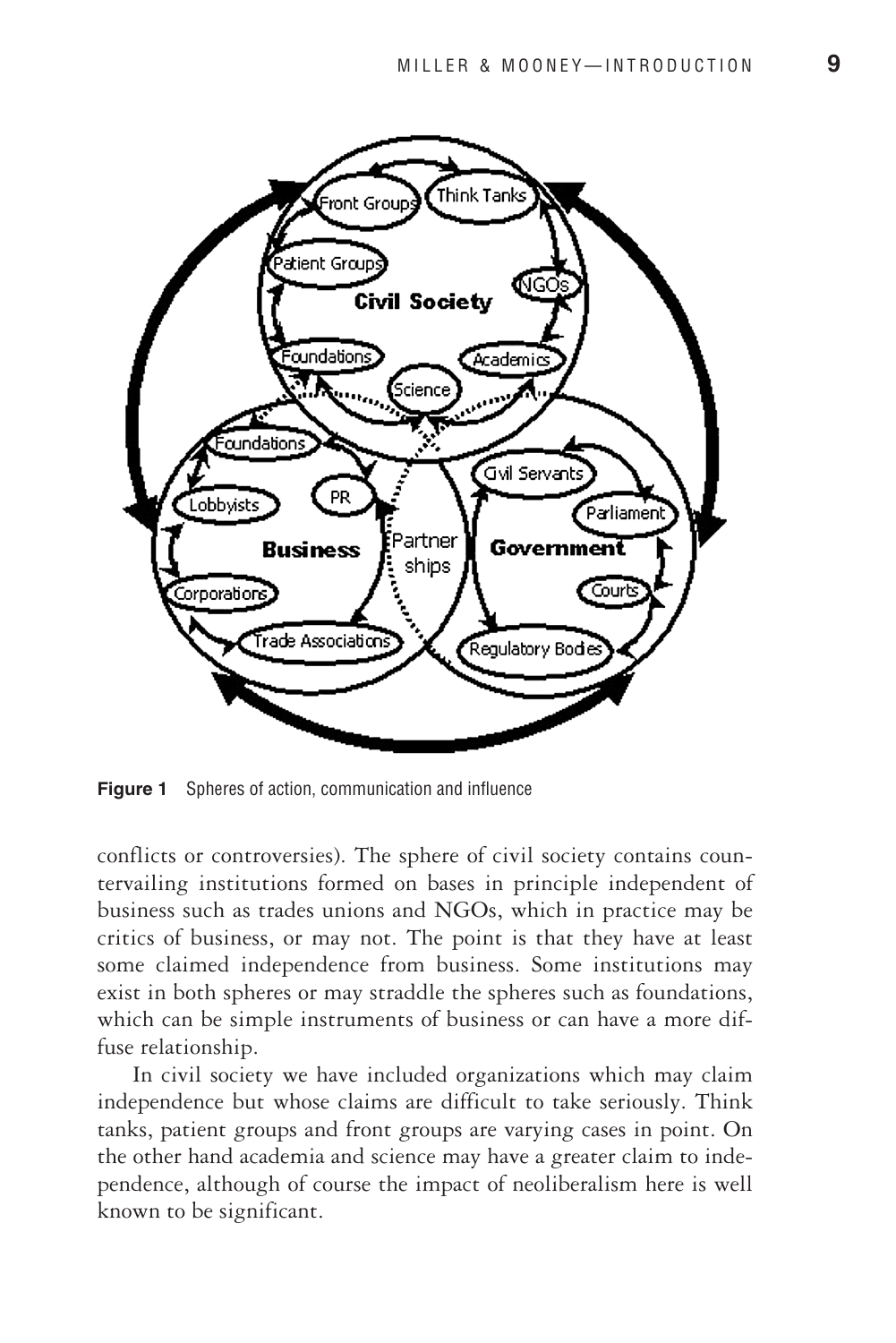

**Figure 1** Spheres of action, communication and influence

conflicts or controversies). The sphere of civil society contains countervailing institutions formed on bases in principle independent of business such as trades unions and NGOs, which in practice may be critics of business, or may not. The point is that they have at least some claimed independence from business. Some institutions may exist in both spheres or may straddle the spheres such as foundations, which can be simple instruments of business or can have a more diffuse relationship.

In civil society we have included organizations which may claim independence but whose claims are difficult to take seriously. Think tanks, patient groups and front groups are varying cases in point. On the other hand academia and science may have a greater claim to independence, although of course the impact of neoliberalism here is well known to be significant.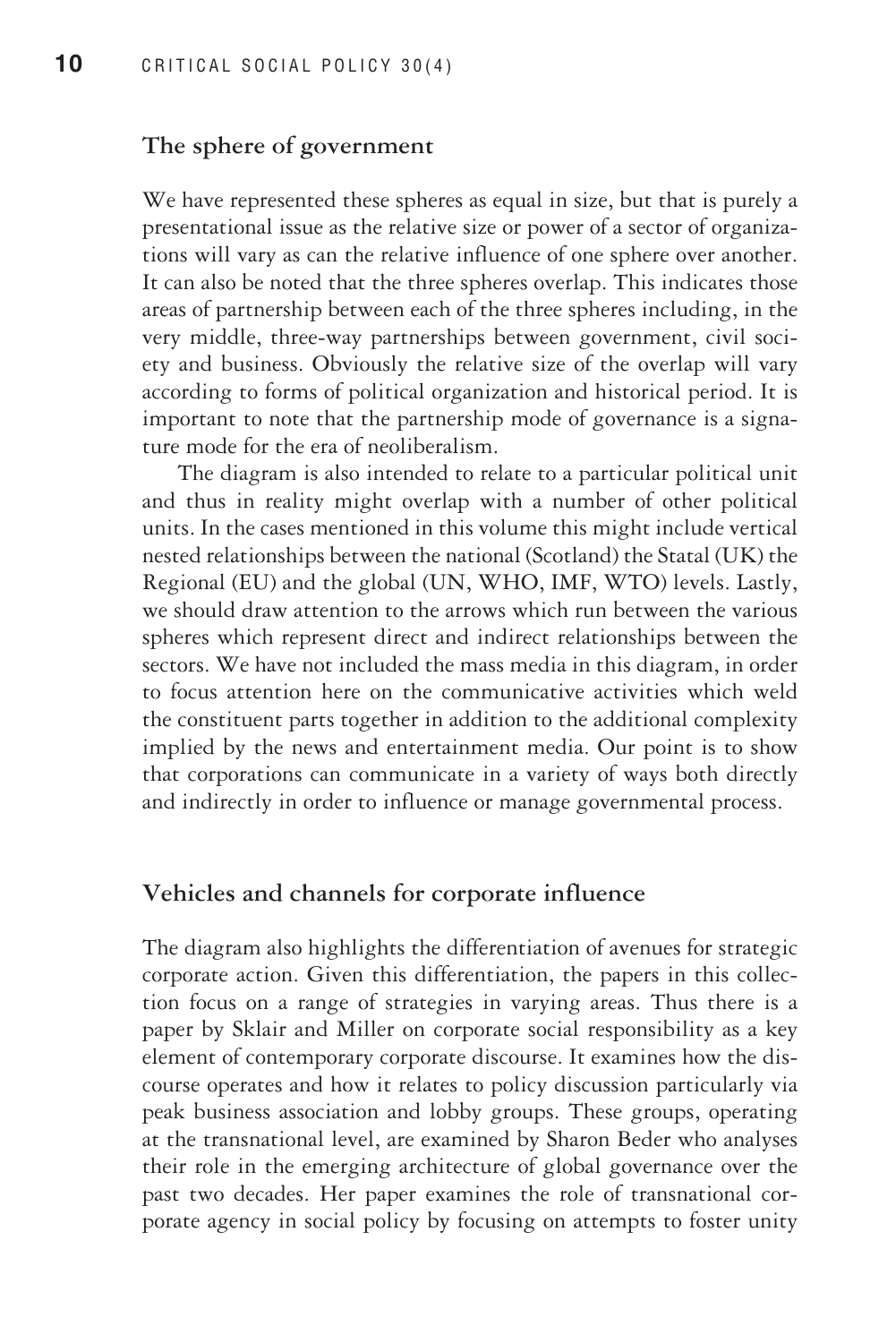## **The sphere of government**

We have represented these spheres as equal in size, but that is purely a presentational issue as the relative size or power of a sector of organizations will vary as can the relative influence of one sphere over another. It can also be noted that the three spheres overlap. This indicates those areas of partnership between each of the three spheres including, in the very middle, three-way partnerships between government, civil society and business. Obviously the relative size of the overlap will vary according to forms of political organization and historical period. It is important to note that the partnership mode of governance is a signature mode for the era of neoliberalism.

The diagram is also intended to relate to a particular political unit and thus in reality might overlap with a number of other political units. In the cases mentioned in this volume this might include vertical nested relationships between the national (Scotland) the Statal (UK) the Regional (EU) and the global (UN, WHO, IMF, WTO) levels. Lastly, we should draw attention to the arrows which run between the various spheres which represent direct and indirect relationships between the sectors. We have not included the mass media in this diagram, in order to focus attention here on the communicative activities which weld the constituent parts together in addition to the additional complexity implied by the news and entertainment media. Our point is to show that corporations can communicate in a variety of ways both directly and indirectly in order to influence or manage governmental process.

## **Vehicles and channels for corporate influence**

The diagram also highlights the differentiation of avenues for strategic corporate action. Given this differentiation, the papers in this collection focus on a range of strategies in varying areas. Thus there is a paper by Sklair and Miller on corporate social responsibility as a key element of contemporary corporate discourse. It examines how the discourse operates and how it relates to policy discussion particularly via peak business association and lobby groups. These groups, operating at the transnational level, are examined by Sharon Beder who analyses their role in the emerging architecture of global governance over the past two decades. Her paper examines the role of transnational corporate agency in social policy by focusing on attempts to foster unity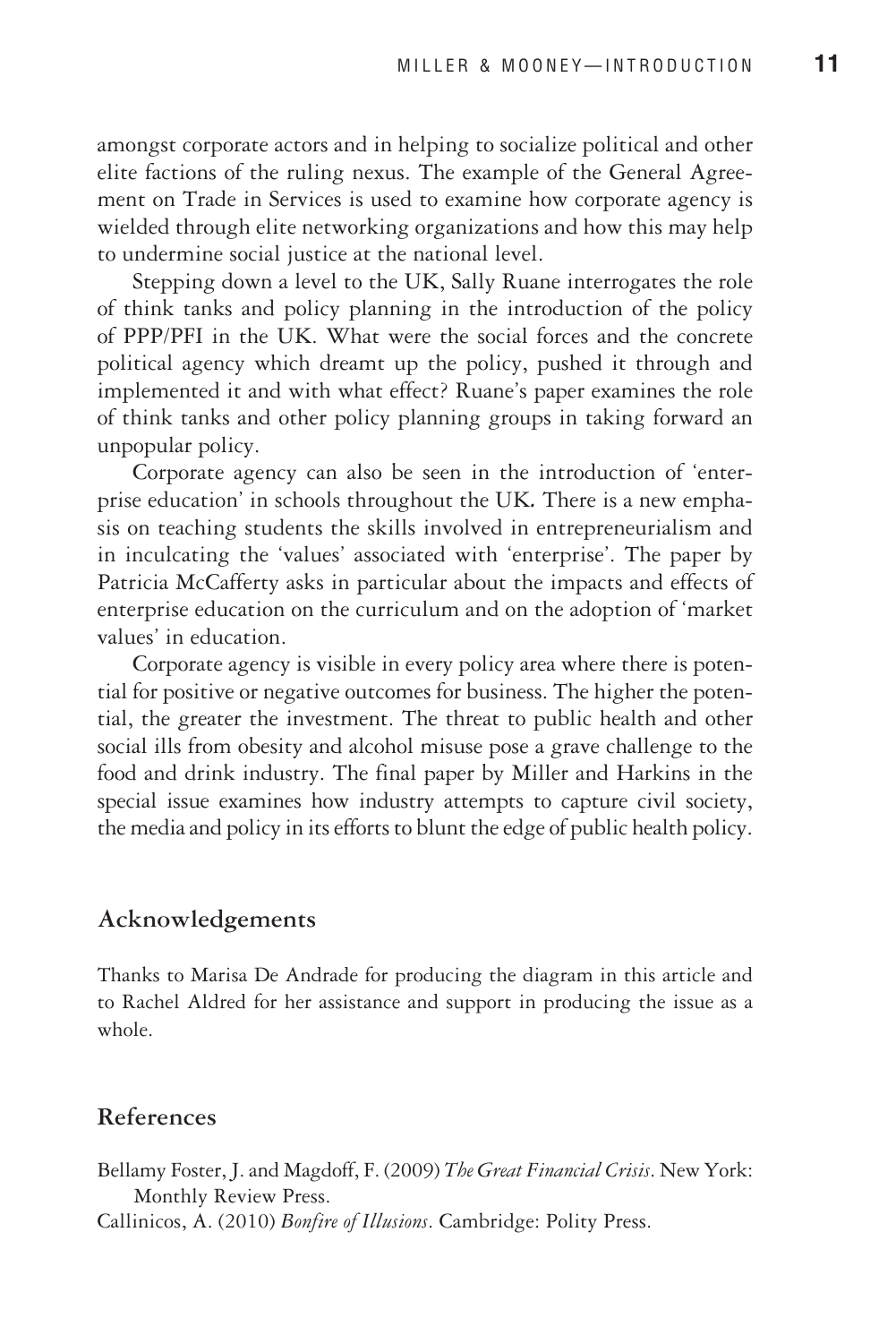amongst corporate actors and in helping to socialize political and other elite factions of the ruling nexus. The example of the General Agreement on Trade in Services is used to examine how corporate agency is wielded through elite networking organizations and how this may help to undermine social justice at the national level.

Stepping down a level to the UK, Sally Ruane interrogates the role of think tanks and policy planning in the introduction of the policy of PPP/PFI in the UK. What were the social forces and the concrete political agency which dreamt up the policy, pushed it through and implemented it and with what effect? Ruane's paper examines the role of think tanks and other policy planning groups in taking forward an unpopular policy.

Corporate agency can also be seen in the introduction of 'enterprise education' in schools throughout the UK*.* There is a new emphasis on teaching students the skills involved in entrepreneurialism and in inculcating the 'values' associated with 'enterprise'. The paper by Patricia McCafferty asks in particular about the impacts and effects of enterprise education on the curriculum and on the adoption of 'market values' in education.

Corporate agency is visible in every policy area where there is potential for positive or negative outcomes for business. The higher the potential, the greater the investment. The threat to public health and other social ills from obesity and alcohol misuse pose a grave challenge to the food and drink industry. The final paper by Miller and Harkins in the special issue examines how industry attempts to capture civil society, the media and policy in its efforts to blunt the edge of public health policy.

## **Acknowledgements**

Thanks to Marisa De Andrade for producing the diagram in this article and to Rachel Aldred for her assistance and support in producing the issue as a whole.

# **References**

Bellamy Foster, J. and Magdoff, F. (2009) *The Great Financial Crisis*. New York: Monthly Review Press.

Callinicos, A. (2010) *Bonfire of Illusions*. Cambridge: Polity Press.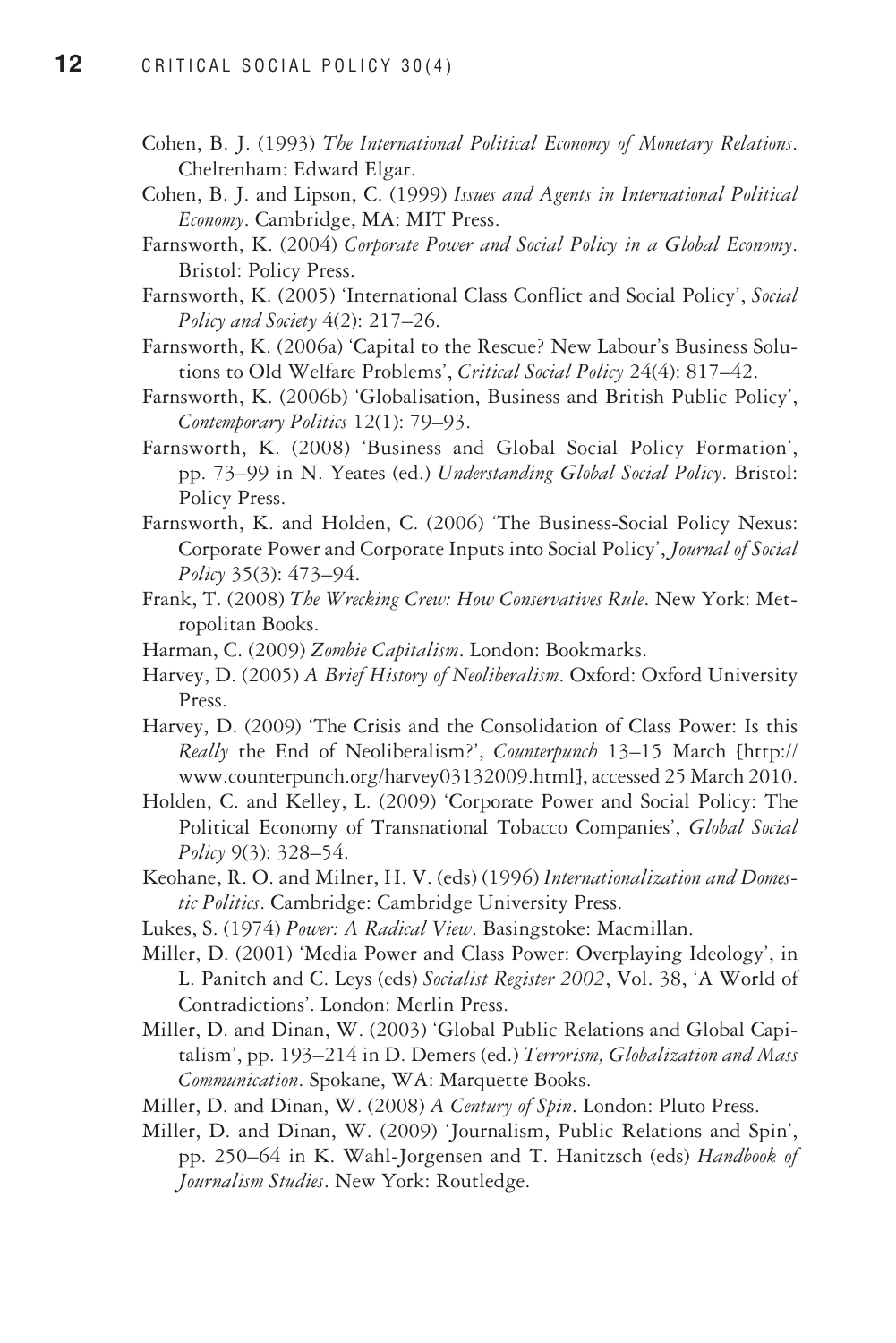- Cohen, B. J. (1993) *The International Political Economy of Monetary Relations*. Cheltenham: Edward Elgar.
- Cohen, B. J. and Lipson, C. (1999) *Issues and Agents in International Political Economy*. Cambridge, MA: MIT Press.
- Farnsworth, K. (2004) *Corporate Power and Social Policy in a Global Economy*. Bristol: Policy Press.
- Farnsworth, K. (2005) 'International Class Conflict and Social Policy', *Social Policy and Society* 4(2): 217–26.
- Farnsworth, K. (2006a) 'Capital to the Rescue? New Labour's Business Solutions to Old Welfare Problems', *Critical Social Policy* 24(4): 817–42.
- Farnsworth, K. (2006b) 'Globalisation, Business and British Public Policy', *Contemporary Politics* 12(1): 79–93.
- Farnsworth, K. (2008) 'Business and Global Social Policy Formation', pp. 73–99 in N. Yeates (ed.) *Understanding Global Social Policy*. Bristol: Policy Press.
- Farnsworth, K. and Holden, C. (2006) 'The Business-Social Policy Nexus: Corporate Power and Corporate Inputs into Social Policy', *Journal of Social Policy* 35(3): 473–94.
- Frank, T. (2008) *The Wrecking Crew: How Conservatives Rule*. New York: Metropolitan Books.
- Harman, C. (2009) *Zombie Capitalism*. London: Bookmarks.
- Harvey, D. (2005) *A Brief History of Neoliberalism*. Oxford: Oxford University Press.
- Harvey, D. (2009) 'The Crisis and the Consolidation of Class Power: Is this *Really* the End of Neoliberalism?', *Counterpunch* 13–15 March [http:// www.counterpunch.org/harvey03132009.html], accessed 25 March 2010.
- Holden, C. and Kelley, L. (2009) 'Corporate Power and Social Policy: The Political Economy of Transnational Tobacco Companies', *Global Social Policy* 9(3): 328–54.
- Keohane, R. O. and Milner, H. V. (eds) (1996) *Internationalization and Domestic Politics*. Cambridge: Cambridge University Press.
- Lukes, S. (1974) *Power: A Radical View*. Basingstoke: Macmillan.
- Miller, D. (2001) 'Media Power and Class Power: Overplaying Ideology', in L. Panitch and C. Leys (eds) *Socialist Register 2002*, Vol. 38, 'A World of Contradictions'. London: Merlin Press.
- Miller, D. and Dinan, W. (2003) 'Global Public Relations and Global Capitalism', pp. 193–214 in D. Demers (ed.) *Terrorism, Globalization and Mass Communication*. Spokane, WA: Marquette Books.
- Miller, D. and Dinan, W. (2008) *A Century of Spin*. London: Pluto Press.
- Miller, D. and Dinan, W. (2009) 'Journalism, Public Relations and Spin', pp. 250–64 in K. Wahl-Jorgensen and T. Hanitzsch (eds) *Handbook of Journalism Studies*. New York: Routledge.